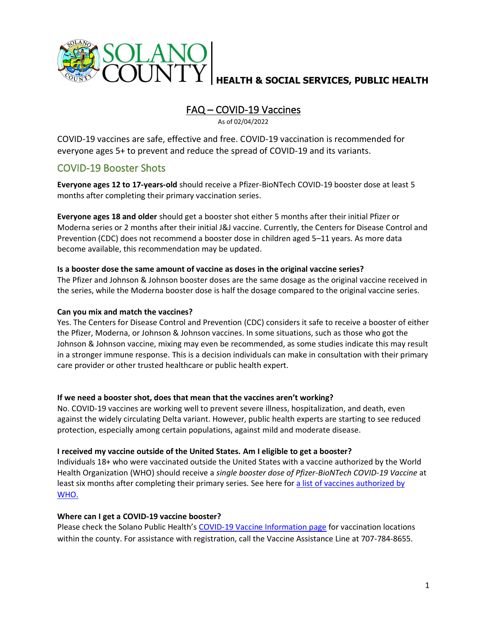

# FAQ – COVID-19 Vaccines

As of 02/04/2022

COVID-19 vaccines are safe, effective and free. COVID-19 vaccination is recommended for everyone ages 5+ to prevent and reduce the spread of COVID-19 and its variants.

# COVID-19 Booster Shots

**Everyone ages 12 to 17-years-old** should receive a Pfizer-BioNTech COVID-19 booster dose at least 5 months after completing their primary vaccination series.

**Everyone ages 18 and older** should get a booster shot either 5 months after their initial Pfizer or Moderna series or 2 months after their initial J&J vaccine. Currently, the Centers for Disease Control and Prevention (CDC) does not recommend a booster dose in children aged 5–11 years. As more data become available, this recommendation may be updated.

# **Is a booster dose the same amount of vaccine as doses in the original vaccine series?**

The Pfizer and Johnson & Johnson booster doses are the same dosage as the original vaccine received in the series, while the Moderna booster dose is half the dosage compared to the original vaccine series.

## **Can you mix and match the vaccines?**

Yes. The Centers for Disease Control and Prevention (CDC) considers it safe to receive a booster of either the Pfizer, Moderna, or Johnson & Johnson vaccines. In some situations, such as those who got the Johnson & Johnson vaccine, mixing may even be recommended, as some studies indicate this may result in a stronger immune response. This is a decision individuals can make in consultation with their primary care provider or other trusted healthcare or public health expert.

## **If we need a booster shot, does that mean that the vaccines aren't working?**

No. COVID-19 vaccines are working well to prevent severe illness, hospitalization, and death, even against the widely circulating Delta variant. However, public health experts are starting to see reduced protection, especially among certain populations, against mild and moderate disease.

## **I received my vaccine outside of the United States. Am I eligible to get a booster?**

Individuals 18+ who were vaccinated outside the United States with a vaccine authorized by the World Health Organization (WHO) should receive a *single booster dose of Pfizer-BioNTech COVID-19 Vaccine* at least six months after completing their primary series. See here for [a list of vaccines authorized](https://covid19.trackvaccines.org/agency/who/) by [WHO.](https://covid19.trackvaccines.org/agency/who/)

## **Where can I get a COVID-19 vaccine booster?**

Please check the Solano Public Health's [COVID-19 Vaccine Information page](https://www.solanocounty.com/depts/ph/coronavirus_links/covid_19_vaccines.asp) for vaccination locations within the county. For assistance with registration, call the Vaccine Assistance Line at 707-784-8655.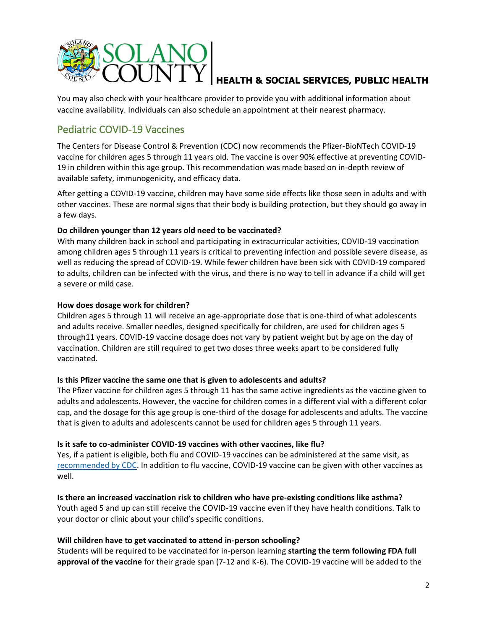

You may also check with your healthcare provider to provide you with additional information about vaccine availability. Individuals can also schedule an appointment at their nearest pharmacy.

# Pediatric COVID-19 Vaccines

The Centers for Disease Control & Prevention (CDC) now recommends the Pfizer-BioNTech COVID-19 vaccine for children ages 5 through 11 years old. The vaccine is over 90% effective at preventing COVID-19 in children within this age group. This recommendation was made based on in-depth review of available safety, immunogenicity, and efficacy data.

After getting a COVID-19 vaccine, children may have some side effects like those seen in adults and with other vaccines. These are normal signs that their body is building protection, but they should go away in a few days.

# **Do children younger than 12 years old need to be vaccinated?**

With many children back in school and participating in extracurricular activities, COVID-19 vaccination among children ages 5 through 11 years is critical to preventing infection and possible severe disease, as well as reducing the spread of COVID-19. While fewer children have been sick with COVID-19 compared to adults, children can be infected with the virus, and there is no way to tell in advance if a child will get a severe or mild case.

## **How does dosage work for children?**

Children ages 5 through 11 will receive an age-appropriate dose that is one-third of what adolescents and adults receive. Smaller needles, designed specifically for children, are used for children ages 5 through11 years. COVID-19 vaccine dosage does not vary by patient weight but by age on the day of vaccination. Children are still required to get two doses three weeks apart to be considered fully vaccinated.

## **Is this Pfizer vaccine the same one that is given to adolescents and adults?**

The Pfizer vaccine for children ages 5 through 11 has the same active ingredients as the vaccine given to adults and adolescents. However, the vaccine for children comes in a different vial with a different color cap, and the dosage for this age group is one-third of the dosage for adolescents and adults. The vaccine that is given to adults and adolescents cannot be used for children ages 5 through 11 years.

## **Is it safe to co-administer COVID-19 vaccines with other vaccines, like flu?**

Yes, if a patient is eligible, both flu and COVID-19 vaccines can be administered at the same visit, as [recommended by CDC.](https://www.cdc.gov/vaccines/covid-19/clinical-considerations/covid-19-vaccines-us.html?CDC_AA_refVal=https%3A%2F%2Fwww.cdc.gov%2Fvaccines%2Fcovid-19%2Finfo-by-product%2Fclinical-considerations.html#Coadministration) In addition to flu vaccine, COVID-19 vaccine can be given with other vaccines as well.

**Is there an increased vaccination risk to children who have pre-existing conditions like asthma?**

Youth aged 5 and up can still receive the COVID-19 vaccine even if they have health conditions. Talk to your doctor or clinic about your child's specific conditions.

# **Will children have to get vaccinated to attend in-person schooling?**

Students will be required to be vaccinated for in-person learning **starting the term following FDA full approval of the vaccine** for their grade span (7-12 and K-6). The COVID-19 vaccine will be added to the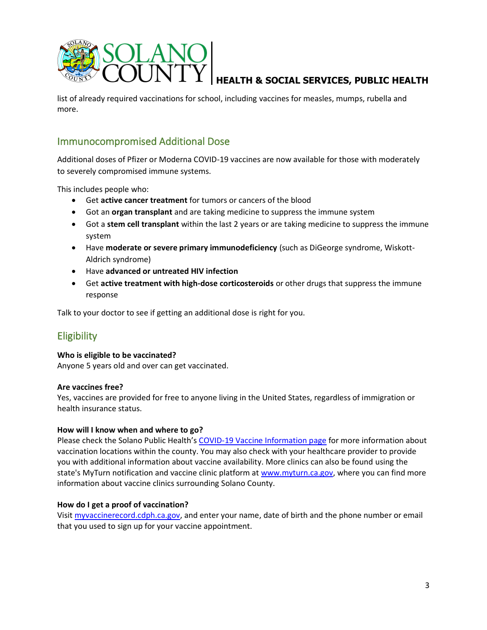

list of already required vaccinations for school, including vaccines for measles, mumps, rubella and more.

# Immunocompromised Additional Dose

Additional doses of Pfizer or Moderna COVID-19 vaccines are now available for those with moderately to severely compromised immune systems.

This includes people who:

- Get **active cancer treatment** for tumors or cancers of the blood
- Got an **organ transplant** and are taking medicine to suppress the immune system
- Got a **stem cell transplant** within the last 2 years or are taking medicine to suppress the immune system
- Have **moderate or severe primary immunodeficiency** (such as DiGeorge syndrome, Wiskott-Aldrich syndrome)
- Have **advanced or untreated HIV infection**
- Get **active treatment with high-dose corticosteroids** or other drugs that suppress the immune response

Talk to your doctor to see if getting an additional dose is right for you.

# **Eligibility**

## **Who is eligible to be vaccinated?**

Anyone 5 years old and over can get vaccinated.

## **Are vaccines free?**

Yes, vaccines are provided for free to anyone living in the United States, regardless of immigration or health insurance status.

## **How will I know when and where to go?**

Please check the Solano Public Health's [COVID-19 Vaccine Information page](https://www.solanocounty.com/depts/ph/coronavirus_links/covid_19_vaccines.asp) for more information about vaccination locations within the county. You may also check with your healthcare provider to provide you with additional information about vaccine availability. More clinics can also be found using the state's MyTurn notification and vaccine clinic platform at [www.myturn.ca.gov,](https://myturn.ca.gov/) where you can find more information about vaccine clinics surrounding Solano County.

## **How do I get a proof of vaccination?**

Visit [myvaccinerecord.cdph.ca.gov,](https://www.myvaccinerecord.cdph.ca.gov/) and enter your name, date of birth and the phone number or email that you used to sign up for your vaccine appointment.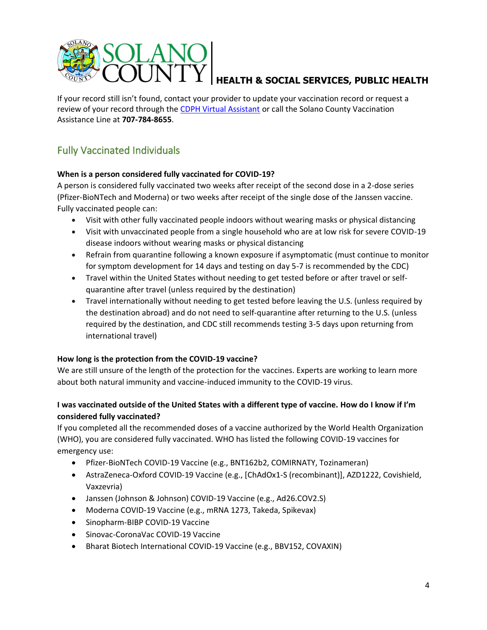

If your record still isn't found, contact your provider to update your vaccination record or request a review of your record through the [CDPH Virtual Assistant](https://chat.myturn.ca.gov/?id=17) or call the Solano County Vaccination Assistance Line at **707-784-8655**.

# Fully Vaccinated Individuals

## **When is a person considered fully vaccinated for COVID-19?**

A person is considered fully vaccinated two weeks after receipt of the second dose in a 2-dose series (Pfizer-BioNTech and Moderna) or two weeks after receipt of the single dose of the Janssen vaccine. Fully vaccinated people can:

- Visit with other fully vaccinated people indoors without wearing masks or physical distancing
- Visit with unvaccinated people from a single household who are at low risk for severe COVID-19 disease indoors without wearing masks or physical distancing
- Refrain from quarantine following a known exposure if asymptomatic (must continue to monitor for symptom development for 14 days and testing on day 5-7 is recommended by the CDC)
- Travel within the United States without needing to get tested before or after travel or selfquarantine after travel (unless required by the destination)
- Travel internationally without needing to get tested before leaving the U.S. (unless required by the destination abroad) and do not need to self-quarantine after returning to the U.S. (unless required by the destination, and CDC still recommends testing 3-5 days upon returning from international travel)

# **How long is the protection from the COVID-19 vaccine?**

We are still unsure of the length of the protection for the vaccines. Experts are working to learn more about both natural immunity and vaccine-induced immunity to the COVID-19 virus.

# **I was vaccinated outside of the United States with a different type of vaccine. How do I know if I'm considered fully vaccinated?**

If you completed all the recommended doses of a vaccine authorized by the World Health Organization (WHO), you are considered fully vaccinated. WHO has listed the following COVID-19 vaccines for emergency use:

- Pfizer-BioNTech COVID-19 Vaccine (e.g., BNT162b2, COMIRNATY, Tozinameran)
- AstraZeneca-Oxford COVID-19 Vaccine (e.g., [ChAdOx1-S (recombinant)], AZD1222, Covishield, Vaxzevria)
- Janssen (Johnson & Johnson) COVID-19 Vaccine (e.g., Ad26.COV2.S)
- Moderna COVID-19 Vaccine (e.g., mRNA 1273, Takeda, Spikevax)
- Sinopharm-BIBP COVID-19 Vaccine
- Sinovac-CoronaVac COVID-19 Vaccine
- Bharat Biotech International COVID-19 Vaccine (e.g., BBV152, COVAXIN)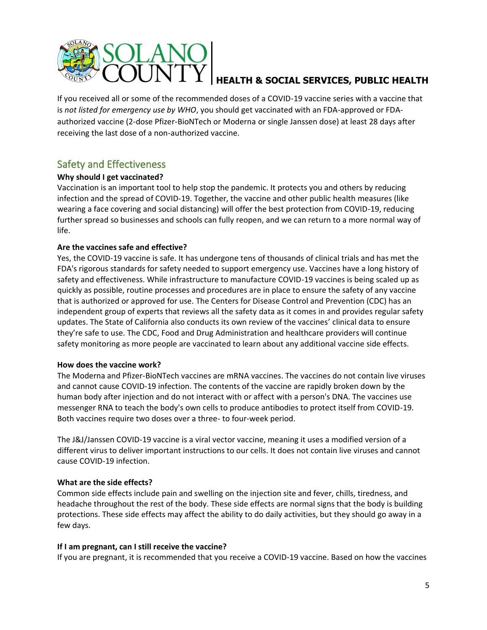

If you received all or some of the recommended doses of a COVID-19 vaccine series with a vaccine that is *not listed for emergency use by WHO*, you should get vaccinated with an FDA-approved or FDAauthorized vaccine (2-dose Pfizer-BioNTech or Moderna or single Janssen dose) at least 28 days after receiving the last dose of a non-authorized vaccine.

# Safety and Effectiveness

# **Why should I get vaccinated?**

Vaccination is an important tool to help stop the pandemic. It protects you and others by reducing infection and the spread of COVID-19. Together, the vaccine and other public health measures (like wearing a face covering and social distancing) will offer the best protection from COVID-19, reducing further spread so businesses and schools can fully reopen, and we can return to a more normal way of life.

# **Are the vaccines safe and effective?**

Yes, the COVID-19 vaccine is safe. It has undergone tens of thousands of clinical trials and has met the FDA's rigorous standards for safety needed to support emergency use. Vaccines have a long history of safety and effectiveness. While infrastructure to manufacture COVID-19 vaccines is being scaled up as quickly as possible, routine processes and procedures are in place to ensure the safety of any vaccine that is authorized or approved for use. The Centers for Disease Control and Prevention (CDC) has an independent group of experts that reviews all the safety data as it comes in and provides regular safety updates. The State of California also conducts its own review of the vaccines' clinical data to ensure they're safe to use. The CDC, Food and Drug Administration and healthcare providers will continue safety monitoring as more people are vaccinated to learn about any additional vaccine side effects.

## **How does the vaccine work?**

The Moderna and Pfizer-BioNTech vaccines are mRNA vaccines. The vaccines do not contain live viruses and cannot cause COVID-19 infection. The contents of the vaccine are rapidly broken down by the human body after injection and do not interact with or affect with a person's DNA. The vaccines use messenger RNA to teach the body's own cells to produce antibodies to protect itself from COVID-19. Both vaccines require two doses over a three- to four-week period.

The J&J/Janssen COVID-19 vaccine is a viral vector vaccine, meaning it uses a modified version of a different virus to deliver important instructions to our cells. It does not contain live viruses and cannot cause COVID-19 infection.

## **What are the side effects?**

Common side effects include pain and swelling on the injection site and fever, chills, tiredness, and headache throughout the rest of the body. These side effects are normal signs that the body is building protections. These side effects may affect the ability to do daily activities, but they should go away in a few days.

## **If I am pregnant, can I still receive the vaccine?**

If you are pregnant, it is recommended that you receive a COVID-19 vaccine. Based on how the vaccines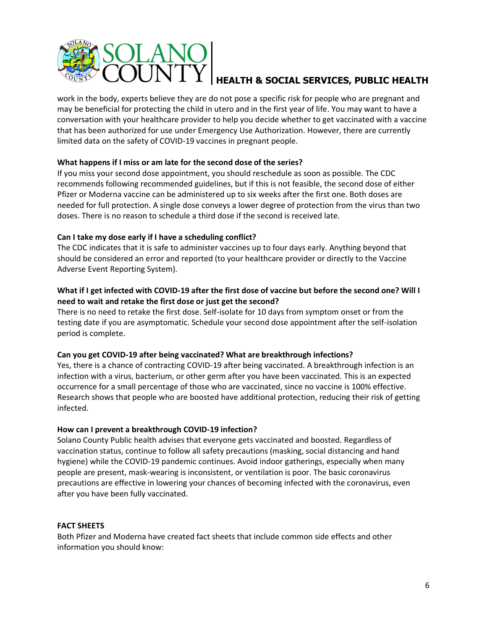

work in the body, experts believe they are do not pose a specific risk for people who are pregnant and may be beneficial for protecting the child in utero and in the first year of life. You may want to have a conversation with your healthcare provider to help you decide whether to get vaccinated with a vaccine that has been authorized for use under Emergency Use Authorization. However, there are currently limited data on the safety of COVID-19 vaccines in pregnant people.  

## **What happens if I miss or am late for the second dose of the series?**

If you miss your second dose appointment, you should reschedule as soon as possible. The CDC recommends following recommended guidelines, but if this is not feasible, the second dose of either Pfizer or Moderna vaccine can be administered up to six weeks after the first one. Both doses are needed for full protection. A single dose conveys a lower degree of protection from the virus than two doses. There is no reason to schedule a third dose if the second is received late.

# **Can I take my dose early if I have a scheduling conflict?**

The CDC indicates that it is safe to administer vaccines up to four days early. Anything beyond that should be considered an error and reported (to your healthcare provider or directly to the Vaccine Adverse Event Reporting System).

# **What if I get infected with COVID-19 after the first dose of vaccine but before the second one? Will I need to wait and retake the first dose or just get the second?**

There is no need to retake the first dose. Self-isolate for 10 days from symptom onset or from the testing date if you are asymptomatic. Schedule your second dose appointment after the self-isolation period is complete.

## **Can you get COVID-19 after being vaccinated? What are breakthrough infections?**

Yes, there is a chance of contracting COVID-19 after being vaccinated. A breakthrough infection is an infection with a virus, bacterium, or other germ after you have been vaccinated. This is an expected occurrence for a small percentage of those who are vaccinated, since no vaccine is 100% effective. Research shows that people who are boosted have additional protection, reducing their risk of getting infected.

## **How can I prevent a breakthrough COVID-19 infection?**

Solano County Public health advises that everyone gets vaccinated and boosted. Regardless of vaccination status, continue to follow all safety precautions (masking, social distancing and hand hygiene) while the COVID-19 pandemic continues. Avoid indoor gatherings, especially when many people are present, mask-wearing is inconsistent, or ventilation is poor. The basic coronavirus precautions are effective in lowering your chances of becoming infected with the coronavirus, even after you have been fully vaccinated.

## **FACT SHEETS**

Both Pfizer and Moderna have created fact sheets that include common side effects and other information you should know: